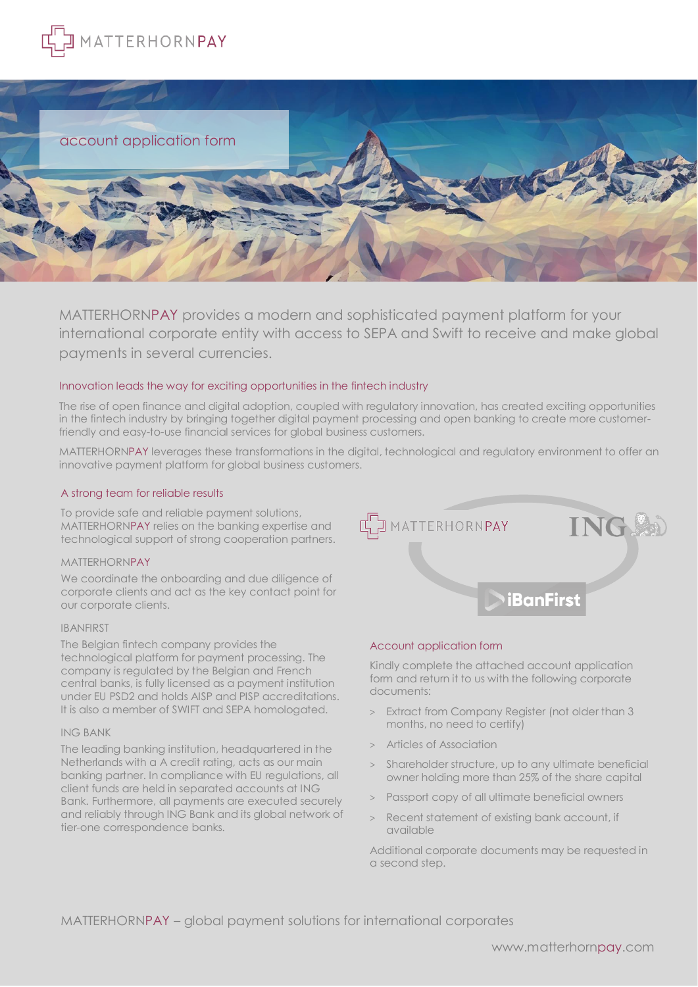



MATTERHORNPAY provides a modern and sophisticated payment platform for your international corporate entity with access to SEPA and Swift to receive and make global payments in several currencies.

# Innovation leads the way for exciting opportunities in the fintech industry

The rise of open finance and digital adoption, coupled with regulatory innovation, has created exciting opportunities in the fintech industry by bringing together digital payment processing and open banking to create more customerfriendly and easy-to-use financial services for global business customers.

MATTERHORNPAY leverages these transformations in the digital, technological and regulatory environment to offer an innovative payment platform for global business customers.

# A strong team for reliable results

To provide safe and reliable payment solutions, MATTERHORNPAY relies on the banking expertise and technological support of strong cooperation partners.

### MATTERHORNPAY

We coordinate the onboarding and due diligence of corporate clients and act as the key contact point for our corporate clients.

### IBANFIRST

The Belgian fintech company provides the technological platform for payment processing. The company is regulated by the Belgian and French central banks, is fully licensed as a payment institution under EU PSD2 and holds AISP and PISP accreditations. It is also a member of SWIFT and SEPA homologated.

## ING BANK

The leading banking institution, headquartered in the Netherlands with a A credit rating, acts as our main banking partner. In compliance with EU regulations, all client funds are held in separated accounts at ING Bank. Furthermore, all payments are executed securely and reliably through ING Bank and its global network of tier-one correspondence banks.



### Account application form

Kindly complete the attached account application form and return it to us with the following corporate documents:

- > Extract from Company Register (not older than 3 months, no need to certify)
- > Articles of Association
- > Shareholder structure, up to any ultimate beneficial owner holding more than 25% of the share capital
- > Passport copy of all ultimate beneficial owners
- Recent statement of existing bank account, if available

Additional corporate documents may be requested in a second step.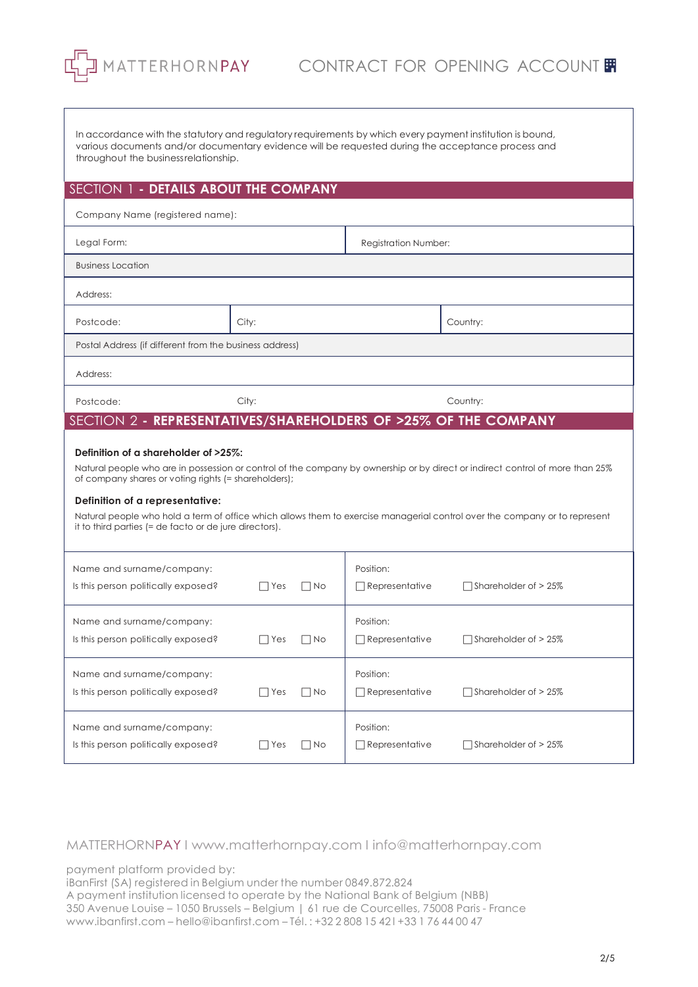In accordance with the statutory and regulatory requirements by which every payment institution is bound, various documents and/or documentary evidence will be requested during the acceptance process and throughout the businessrelationship.

# SECTION 1 **- DETAILS ABOUT THE COMPANY**

| Company Name (registered name):                                                                                                                                                                                               |       |                             |          |  |  |
|-------------------------------------------------------------------------------------------------------------------------------------------------------------------------------------------------------------------------------|-------|-----------------------------|----------|--|--|
| Legal Form:                                                                                                                                                                                                                   |       | <b>Registration Number:</b> |          |  |  |
| <b>Business Location</b>                                                                                                                                                                                                      |       |                             |          |  |  |
| Address:                                                                                                                                                                                                                      |       |                             |          |  |  |
| Postcode:                                                                                                                                                                                                                     | City: |                             | Country: |  |  |
| Postal Address (if different from the business address)                                                                                                                                                                       |       |                             |          |  |  |
| Address:                                                                                                                                                                                                                      |       |                             |          |  |  |
| Postcode:                                                                                                                                                                                                                     | City: |                             | Country: |  |  |
| SECTION 2 - REPRESENTATIVES/SHAREHOLDERS OF >25% OF THE COMPANY                                                                                                                                                               |       |                             |          |  |  |
| Definition of a shareholder of >25%:<br>Natural people who are in possession or control of the company by ownership or by direct or indirect control of more than 25%<br>of company shares or voting rights (= shareholders); |       |                             |          |  |  |
| Definition of a representative:<br>Natural people who hold a term of office which allows them to exercise managerial control over the company or to represent<br>it to third parties (= de facto or de jure directors).       |       |                             |          |  |  |

| Name and surname/company:<br>Is this person politically exposed? | l lYes | No.<br>$\Box$            | Position:<br>$\Box$ Representative | $\Box$ Shareholder of > 25% |
|------------------------------------------------------------------|--------|--------------------------|------------------------------------|-----------------------------|
| Name and surname/company:<br>Is this person politically exposed? | Yes    | No.<br>$\vert \ \ \vert$ | Position:<br>] Representative      | Shareholder of > 25%        |
| Name and surname/company:<br>Is this person politically exposed? | l lYes | $\Box$ No                | Position:<br>$\Box$ Representative | $\Box$ Shareholder of > 25% |
| Name and surname/company:<br>Is this person politically exposed? | Yes    | No.<br>$\mathbf{I}$      | Position:<br>$\Box$ Representative | Shareholder of > 25%        |

MATTERHORNPAY I [www.matterhornpay.com](http://www.matterhornpay.com/) I [info@matterhornpay.com](mailto:info@matterhornpay.com) 

payment platform provided by:

iBanFirst (SA) registered in Belgium under the number 0849.872.824 A payment institution licensed to operate by the National Bank of Belgium (NBB)

350 Avenue Louise – 1050 Brussels – Belgium | 61 rue de Courcelles, 75008 Paris - France [www.ibanfirst.com](http://www.ibanfirst.com/) – [hello@ibanfirst.com](mailto:hello@ibanfirst.com) – Tél. : +32 2 808 15 42 l +33 1 76 44 00 47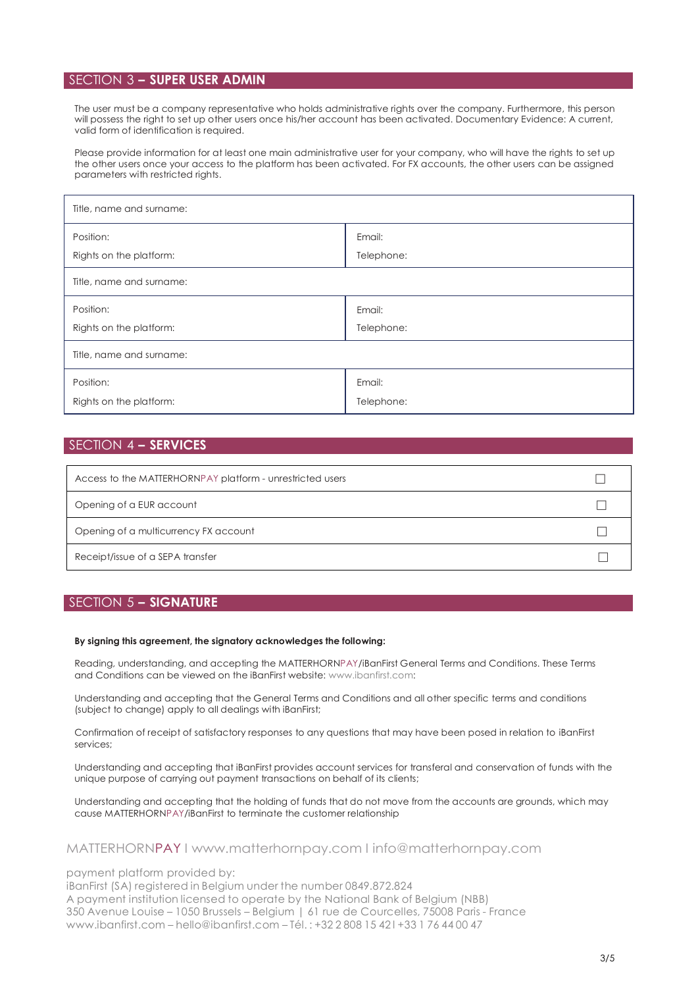# SECTION 3 **– SUPER USER ADMIN**

The user must be a company representative who holds administrative rights over the company. Furthermore, this person will possess the right to set up other users once his/her account has been activated. Documentary Evidence: A current, valid form of identification is required.

Please provide information for at least one main administrative user for your company, who will have the rights to set up the other users once your access to the platform has been activated. For FX accounts, the other users can be assigned parameters with restricted rights.

| Title, name and surname: |            |  |  |
|--------------------------|------------|--|--|
| Position:                | Email:     |  |  |
| Rights on the platform:  | Telephone: |  |  |
| Title, name and surname: |            |  |  |
| Position:                | Email:     |  |  |
| Rights on the platform:  | Telephone: |  |  |
| Title, name and surname: |            |  |  |
| Position:                | Email:     |  |  |
| Rights on the platform:  | Telephone: |  |  |

# SECTION 4 **– SERVICES**

| Access to the MATTERHORNPAY platform - unrestricted users |  |
|-----------------------------------------------------------|--|
| Opening of a EUR account                                  |  |
| Opening of a multicurrency FX account                     |  |
| Receipt/issue of a SEPA transfer                          |  |

# SECTION 5 **– SIGNATURE**

#### **By signing this agreement, the signatory acknowledges the following:**

Reading, understanding, and accepting the MATTERHORNPAY/iBanFirst General Terms and Conditions. These Terms and Conditions can be viewed on the iBanFirst website: [www.ibanfirst.com:](http://www.ibanfirst.com/)

Understanding and accepting that the General Terms and Conditions and all other specific terms and conditions (subject to change) apply to all dealings with iBanFirst;

Confirmation of receipt of satisfactory responses to any questions that may have been posed in relation to iBanFirst services;

Understanding and accepting that iBanFirst provides account services for transferal and conservation of funds with the unique purpose of carrying out payment transactions on behalf of its clients;

Understanding and accepting that the holding of funds that do not move from the accounts are grounds, which may cause MATTERHORNPAY/iBanFirst to terminate the customer relationship

# MATTERHORNPAY I [www.matterhornpay.com](http://www.matterhornpay.com/) I [info@matterhornpay.com](mailto:info@matterhornpay.com)

payment platform provided by:

iBanFirst (SA) registered in Belgium under the number 0849.872.824 A payment institution licensed to operate by the National Bank of Belgium (NBB) 350 Avenue Louise – 1050 Brussels – Belgium | 61 rue de Courcelles, 75008 Paris - France [www.ibanfirst.com](http://www.ibanfirst.com/) – [hello@ibanfirst.com](mailto:hello@ibanfirst.com) – Tél. : +32 2 808 15 42 l +33 1 76 44 00 47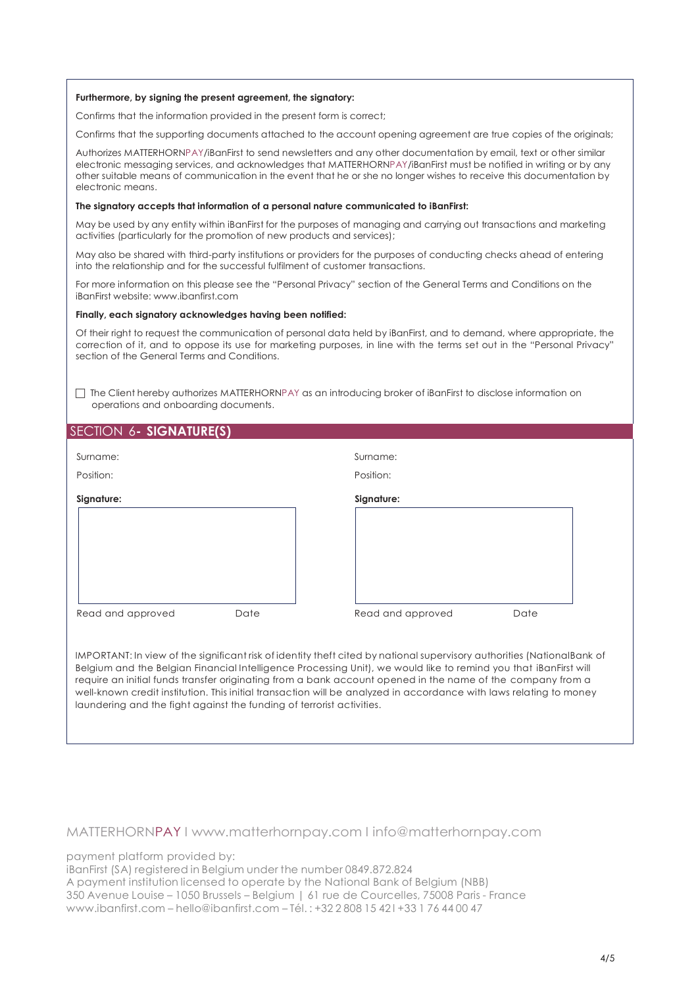### **Furthermore, by signing the present agreement, the signatory:**

Confirms that the information provided in the present form is correct;

Confirms that the supporting documents attached to the account opening agreement are true copies of the originals;

Authorizes MATTERHORNPAY/iBanFirst to send newsletters and any other documentation by email, text or other similar electronic messaging services, and acknowledges that MATTERHORNPAY/iBanFirst must be notified in writing or by any other suitable means of communication in the event that he or she no longer wishes to receive this documentation by electronic means.

#### **The signatory accepts that information of a personal nature communicated to iBanFirst:**

May be used by any entity within iBanFirst for the purposes of managing and carrying out transactions and marketing activities (particularly for the promotion of new products and services);

May also be shared with third-party institutions or providers for the purposes of conducting checks ahead of entering into the relationship and for the successful fulfilment of customer transactions.

For more information on this please see the "Personal Privacy" section of the General Terms and Conditions on the iBanFirst website: [www.ibanfirst.com](http://www.ibanfirst.com/)

#### **Finally, each signatory acknowledges having been notified:**

Of their right to request the communication of personal data held by iBanFirst, and to demand, where appropriate, the correction of it, and to oppose its use for marketing purposes, in line with the terms set out in the "Personal Privacy" section of the General Terms and Conditions.

 The Client hereby authorizes MATTERHORNPAY as an introducing broker of iBanFirst to disclose information on operations and onboarding documents.

# SECTION 6**- SIGNATURE(S)**

| Surname:          |      | Surname:          |      |
|-------------------|------|-------------------|------|
| Position:         |      | Position:         |      |
| Signature:        |      | Signature:        |      |
|                   |      |                   |      |
|                   |      |                   |      |
|                   |      |                   |      |
| Read and approved | Date | Read and approved | Date |

IMPORTANT: In view of the significant risk of identity theft cited by national supervisory authorities (NationalBank of Belgium and the Belgian Financial Intelligence Processing Unit), we would like to remind you that iBanFirst will require an initial funds transfer originating from a bank account opened in the name of the company from a well-known credit institution. This initial transaction will be analyzed in accordance with laws relating to money laundering and the fight against the funding of terrorist activities.

MATTERHORNPAY I [www.matterhornpay.com](http://www.matterhornpay.com/) I [info@matterhornpay.com](mailto:info@matterhornpay.com) 

payment platform provided by:

iBanFirst (SA) registered in Belgium under the number 0849.872.824

A payment institution licensed to operate by the National Bank of Belgium (NBB) 350 Avenue Louise – 1050 Brussels – Belgium | 61 rue de Courcelles, 75008 Paris - France [www.ibanfirst.com](http://www.ibanfirst.com/) – [hello@ibanfirst.com](mailto:hello@ibanfirst.com) – Tél. : +32 2 808 15 42 l +33 1 76 44 00 47